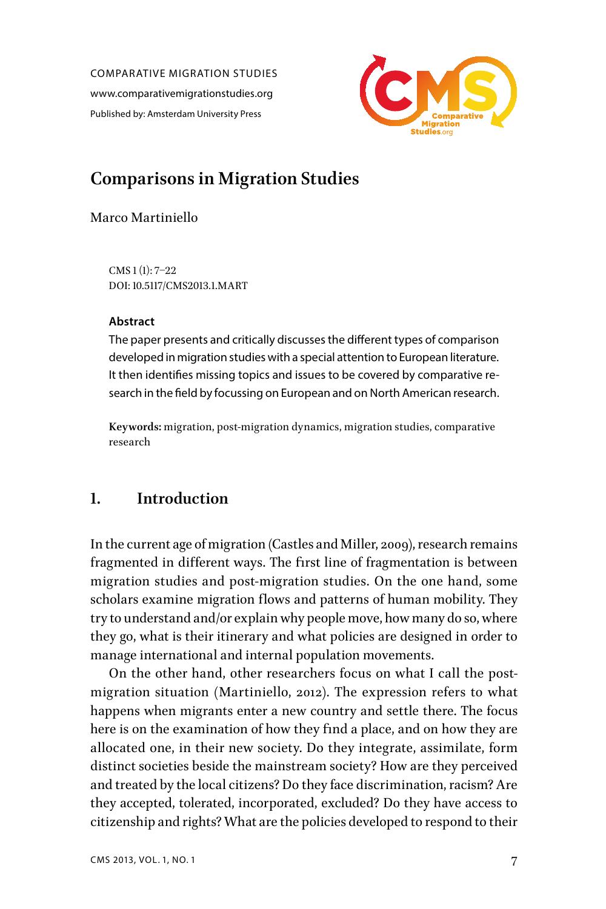COMPARATIVE MIGRATION STUDIES www.comparativemigrationstudies.org Published by: Amsterdam University Press



## **Comparisons in Migration Studies**

Marco Martiniello

CMS 1 (1): 7–22 DOI: 10.5117/CMS2013.1.MART

#### **Abstract**

The paper presents and critically discusses the different types of comparison developed in migration studies with a special attention to European literature. It then identifies missing topics and issues to be covered by comparative research in the field by focussing on European and on North American research.

**Keywords:** migration, post-migration dynamics, migration studies, comparative research

#### **1. Introduction**

In the current age of migration (Castles and Miller, 2009), research remains fragmented in different ways. The first line of fragmentation is between migration studies and post-migration studies. On the one hand, some scholars examine migration flows and patterns of human mobility. They try to understand and/or explain why people move, how many do so, where they go, what is their itinerary and what policies are designed in order to manage international and internal population movements.

On the other hand, other researchers focus on what I call the postmigration situation (Martiniello, 2012). The expression refers to what happens when migrants enter a new country and settle there. The focus here is on the examination of how they find a place, and on how they are allocated one, in their new society. Do they integrate, assimilate, form distinct societies beside the mainstream society? How are they perceived and treated by the local citizens? Do they face discrimination, racism? Are they accepted, tolerated, incorporated, excluded? Do they have access to citizenship and rights? What are the policies developed to respond to their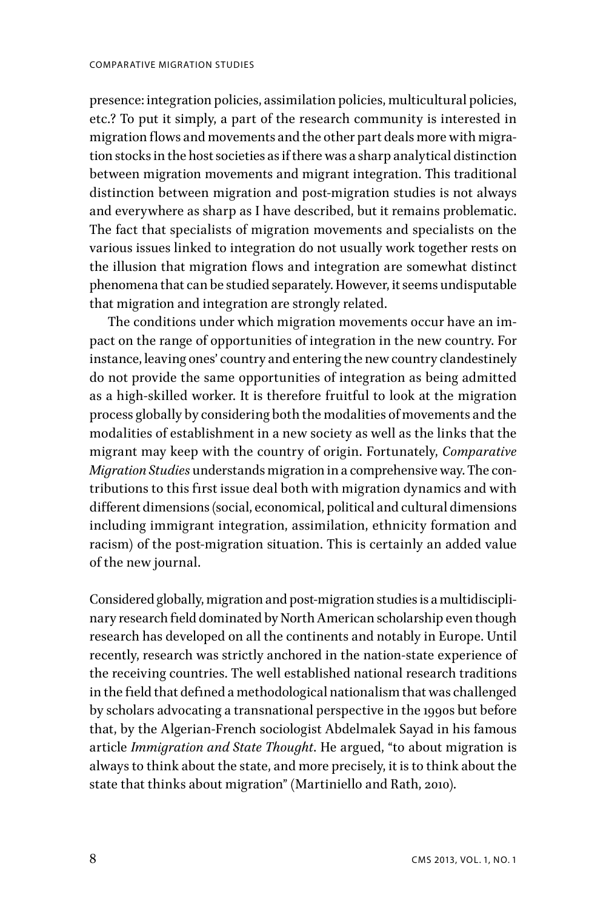presence: integration policies, assimilation policies, multicultural policies, etc.? To put it simply, a part of the research community is interested in migration flows and movements and the other part deals more with migration stocks in the host societies as if there was a sharp analytical distinction between migration movements and migrant integration. This traditional distinction between migration and post-migration studies is not always and everywhere as sharp as I have described, but it remains problematic. The fact that specialists of migration movements and specialists on the various issues linked to integration do not usually work together rests on the illusion that migration flows and integration are somewhat distinct phenomena that can be studied separately. However, it seems undisputable that migration and integration are strongly related.

The conditions under which migration movements occur have an impact on the range of opportunities of integration in the new country. For instance, leaving ones' country and entering the new country clandestinely do not provide the same opportunities of integration as being admitted as a high-skilled worker. It is therefore fruitful to look at the migration process globally by considering both the modalities of movements and the modalities of establishment in a new society as well as the links that the migrant may keep with the country of origin. Fortunately, *Comparative Migration Studies* understands migration in a comprehensive way. The contributions to this first issue deal both with migration dynamics and with diffferent dimensions (social, economical, political and cultural dimensions including immigrant integration, assimilation, ethnicity formation and racism) of the post-migration situation. This is certainly an added value of the new journal.

Considered globally, migration and post-migration studies is a multidisciplinary research field dominated by North American scholarship even though research has developed on all the continents and notably in Europe. Until recently, research was strictly anchored in the nation-state experience of the receiving countries. The well established national research traditions in the field that defined a methodological nationalism that was challenged by scholars advocating a transnational perspective in the 1990s but before that, by the Algerian-French sociologist Abdelmalek Sayad in his famous article *Immigration and State Thought*. He argued, "to about migration is always to think about the state, and more precisely, it is to think about the state that thinks about migration" (Martiniello and Rath, 2010).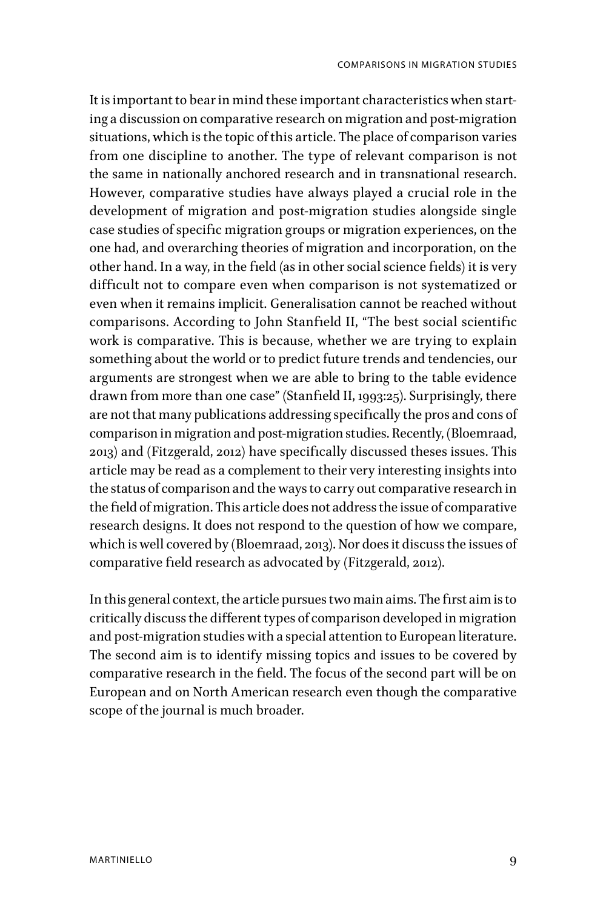It is important to bear in mind these important characteristics when starting a discussion on comparative research on migration and post-migration situations, which is the topic of this article. The place of comparison varies from one discipline to another. The type of relevant comparison is not the same in nationally anchored research and in transnational research. However, comparative studies have always played a crucial role in the development of migration and post-migration studies alongside single case studies of specific migration groups or migration experiences, on the one had, and overarching theories of migration and incorporation, on the other hand. In a way, in the field (as in other social science fields) it is very difficult not to compare even when comparison is not systematized or even when it remains implicit. Generalisation cannot be reached without comparisons. According to John Stanfield II, "The best social scientific work is comparative. This is because, whether we are trying to explain something about the world or to predict future trends and tendencies, our arguments are strongest when we are able to bring to the table evidence drawn from more than one case" (Stanfield II, 1993:25). Surprisingly, there are not that many publications addressing specifically the pros and cons of comparison in migration and post-migration studies. Recently, (Bloemraad, 2013) and (Fitzgerald, 2012) have specifically discussed theses issues. This article may be read as a complement to their very interesting insights into the status of comparison and the ways to carry out comparative research in the field of migration. This article does not address the issue of comparative research designs. It does not respond to the question of how we compare, which is well covered by (Bloemraad, 2013). Nor does it discuss the issues of comparative field research as advocated by (Fitzgerald, 2012).

In this general context, the article pursues two main aims. The first aim is to critically discuss the diffferent types of comparison developed in migration and post-migration studies with a special attention to European literature. The second aim is to identify missing topics and issues to be covered by comparative research in the field. The focus of the second part will be on European and on North American research even though the comparative scope of the journal is much broader.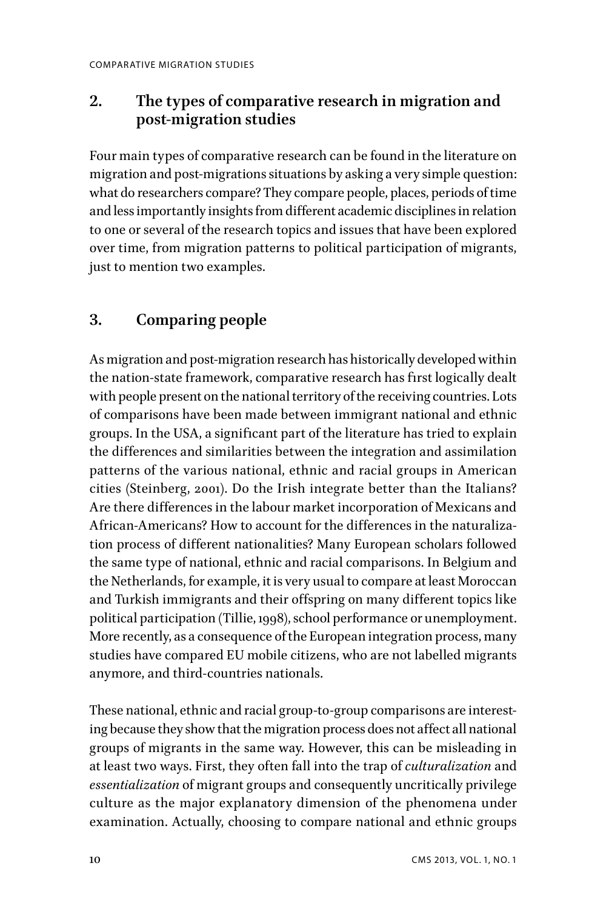## **2. The types of comparative research in migration and post-migration studies**

Four main types of comparative research can be found in the literature on migration and post-migrations situations by asking a very simple question: what do researchers compare? They compare people, places, periods of time and less importantly insights from diffferent academic disciplines in relation to one or several of the research topics and issues that have been explored over time, from migration patterns to political participation of migrants, just to mention two examples.

# **3. Comparing people**

As migration and post-migration research has historically developed within the nation-state framework, comparative research has first logically dealt with people present on the national territory of the receiving countries. Lots of comparisons have been made between immigrant national and ethnic groups. In the USA, a significant part of the literature has tried to explain the diffferences and similarities between the integration and assimilation patterns of the various national, ethnic and racial groups in American cities (Steinberg, 2001). Do the Irish integrate better than the Italians? Are there diffferences in the labour market incorporation of Mexicans and African-Americans? How to account for the differences in the naturalization process of diffferent nationalities? Many European scholars followed the same type of national, ethnic and racial comparisons. In Belgium and the Netherlands, for example, it is very usual to compare at least Moroccan and Turkish immigrants and their offspring on many different topics like political participation (Tillie, 1998), school performance or unemployment. More recently, as a consequence of the European integration process, many studies have compared EU mobile citizens, who are not labelled migrants anymore, and third-countries nationals.

These national, ethnic and racial group-to-group comparisons are interesting because they show that the migration process does not affect all national groups of migrants in the same way. However, this can be misleading in at least two ways. First, they often fall into the trap of *culturalization* and *essentialization* of migrant groups and consequently uncritically privilege culture as the major explanatory dimension of the phenomena under examination. Actually, choosing to compare national and ethnic groups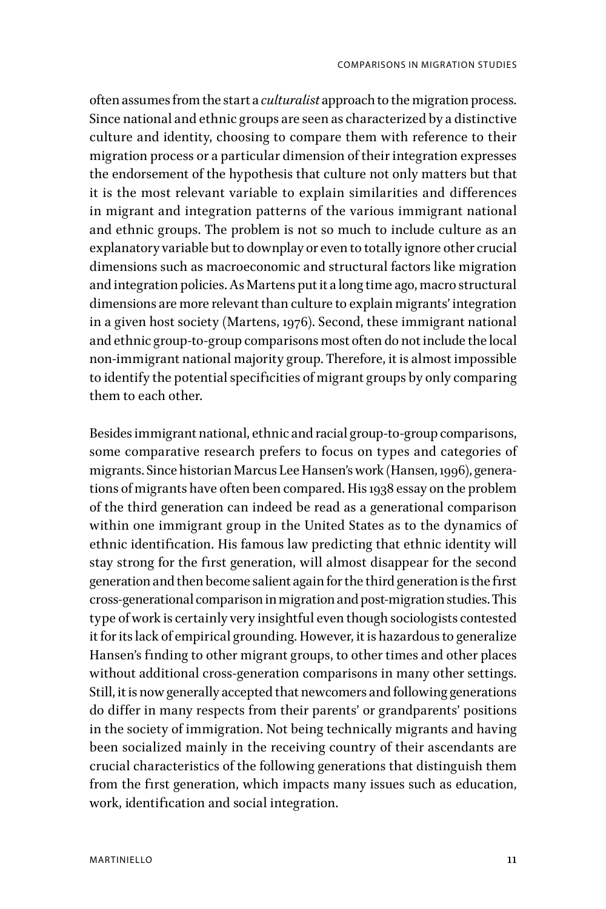often assumes from the start a *culturalist* approach to the migration process. Since national and ethnic groups are seen as characterized by a distinctive culture and identity, choosing to compare them with reference to their migration process or a particular dimension of their integration expresses the endorsement of the hypothesis that culture not only matters but that it is the most relevant variable to explain similarities and differences in migrant and integration patterns of the various immigrant national and ethnic groups. The problem is not so much to include culture as an explanatory variable but to downplay or even to totally ignore other crucial dimensions such as macroeconomic and structural factors like migration and integration policies. As Martens put it a long time ago, macro structural dimensions are more relevant than culture to explain migrants' integration in a given host society (Martens, 1976). Second, these immigrant national and ethnic group-to-group comparisons most often do not include the local non-immigrant national majority group. Therefore, it is almost impossible to identify the potential specificities of migrant groups by only comparing them to each other.

Besides immigrant national, ethnic and racial group-to-group comparisons, some comparative research prefers to focus on types and categories of migrants. Since historian Marcus Lee Hansen's work (Hansen, 1996), generations of migrants have often been compared. His 1938 essay on the problem of the third generation can indeed be read as a generational comparison within one immigrant group in the United States as to the dynamics of ethnic identification. His famous law predicting that ethnic identity will stay strong for the first generation, will almost disappear for the second generation and then become salient again for the third generation is the first cross-generational comparison in migration and post-migration studies. This type of work is certainly very insightful even though sociologists contested it for its lack of empirical grounding. However, it is hazardous to generalize Hansen's finding to other migrant groups, to other times and other places without additional cross-generation comparisons in many other settings. Still, it is now generally accepted that newcomers and following generations do difffer in many respects from their parents' or grandparents' positions in the society of immigration. Not being technically migrants and having been socialized mainly in the receiving country of their ascendants are crucial characteristics of the following generations that distinguish them from the first generation, which impacts many issues such as education, work, identification and social integration.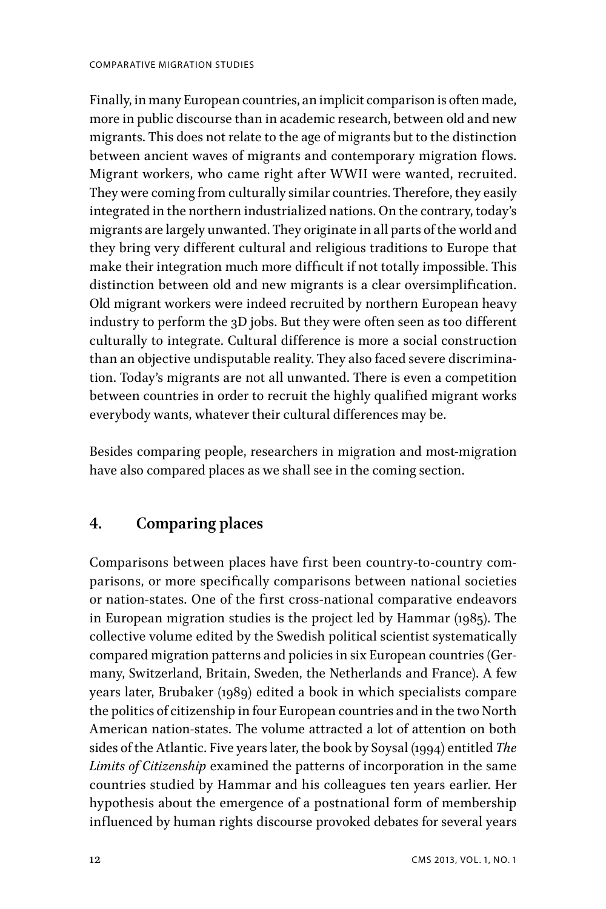Finally, in many European countries, an implicit comparison is often made, more in public discourse than in academic research, between old and new migrants. This does not relate to the age of migrants but to the distinction between ancient waves of migrants and contemporary migration flows. Migrant workers, who came right after WWII were wanted, recruited. They were coming from culturally similar countries. Therefore, they easily integrated in the northern industrialized nations. On the contrary, today's migrants are largely unwanted. They originate in all parts of the world and they bring very diffferent cultural and religious traditions to Europe that make their integration much more difficult if not totally impossible. This distinction between old and new migrants is a clear oversimplification. Old migrant workers were indeed recruited by northern European heavy industry to perform the 3D jobs. But they were often seen as too different culturally to integrate. Cultural diffference is more a social construction than an objective undisputable reality. They also faced severe discrimination. Today's migrants are not all unwanted. There is even a competition between countries in order to recruit the highly qualified migrant works everybody wants, whatever their cultural differences may be.

Besides comparing people, researchers in migration and most-migration have also compared places as we shall see in the coming section.

## **4. Comparing places**

Comparisons between places have first been country-to-country comparisons, or more specifically comparisons between national societies or nation-states. One of the first cross-national comparative endeavors in European migration studies is the project led by Hammar (1985). The collective volume edited by the Swedish political scientist systematically compared migration patterns and policies in six European countries (Germany, Switzerland, Britain, Sweden, the Netherlands and France). A few years later, Brubaker (1989) edited a book in which specialists compare the politics of citizenship in four European countries and in the two North American nation-states. The volume attracted a lot of attention on both sides of the Atlantic. Five years later, the book by Soysal (1994) entitled *The Limits of Citizenship* examined the patterns of incorporation in the same countries studied by Hammar and his colleagues ten years earlier. Her hypothesis about the emergence of a postnational form of membership influenced by human rights discourse provoked debates for several years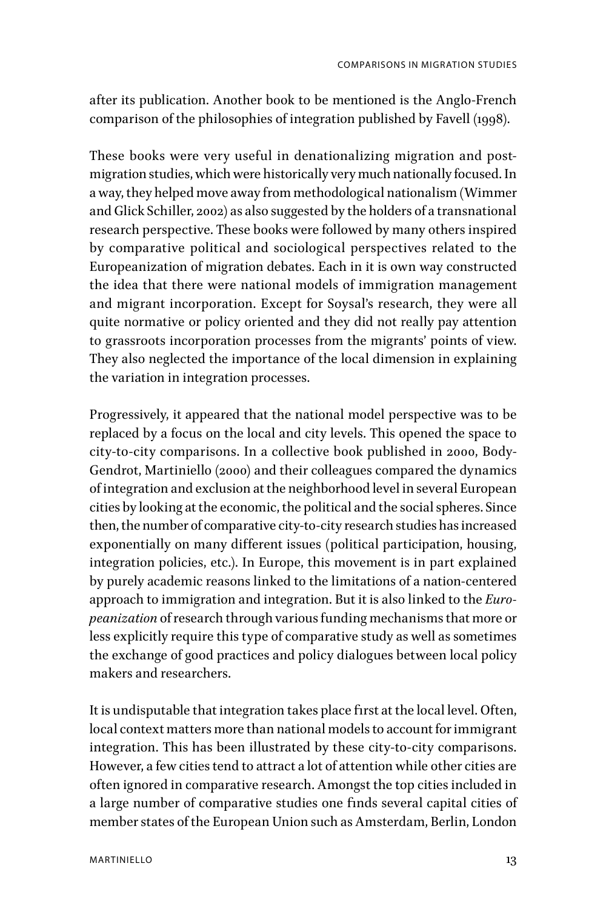after its publication. Another book to be mentioned is the Anglo-French comparison of the philosophies of integration published by Favell (1998).

These books were very useful in denationalizing migration and postmigration studies, which were historically very much nationally focused. In a way, they helped move away from methodological nationalism (Wimmer and Glick Schiller, 2002) as also suggested by the holders of a transnational research perspective. These books were followed by many others inspired by comparative political and sociological perspectives related to the Europeanization of migration debates. Each in it is own way constructed the idea that there were national models of immigration management and migrant incorporation. Except for Soysal's research, they were all quite normative or policy oriented and they did not really pay attention to grassroots incorporation processes from the migrants' points of view. They also neglected the importance of the local dimension in explaining the variation in integration processes.

Progressively, it appeared that the national model perspective was to be replaced by a focus on the local and city levels. This opened the space to city-to-city comparisons. In a collective book published in 2000, Body-Gendrot, Martiniello (2000) and their colleagues compared the dynamics of integration and exclusion at the neighborhood level in several European cities by looking at the economic, the political and the social spheres. Since then, the number of comparative city-to-city research studies has increased exponentially on many different issues (political participation, housing, integration policies, etc.). In Europe, this movement is in part explained by purely academic reasons linked to the limitations of a nation-centered approach to immigration and integration. But it is also linked to the *Europeanization* of research through various funding mechanisms that more or less explicitly require this type of comparative study as well as sometimes the exchange of good practices and policy dialogues between local policy makers and researchers.

It is undisputable that integration takes place first at the local level. Often, local context matters more than national models to account for immigrant integration. This has been illustrated by these city-to-city comparisons. However, a few cities tend to attract a lot of attention while other cities are often ignored in comparative research. Amongst the top cities included in a large number of comparative studies one finds several capital cities of member states of the European Union such as Amsterdam, Berlin, London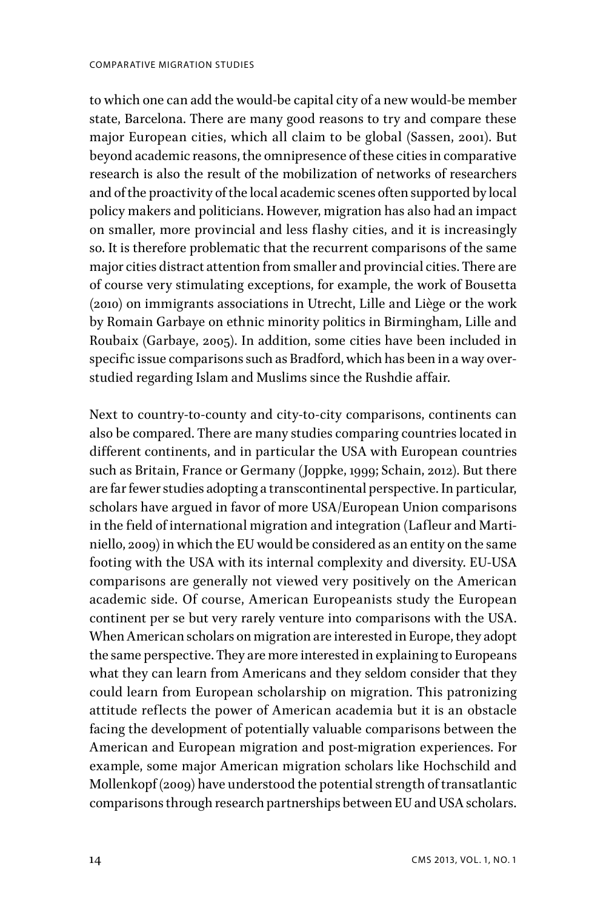to which one can add the would-be capital city of a new would-be member state, Barcelona. There are many good reasons to try and compare these major European cities, which all claim to be global (Sassen, 2001). But beyond academic reasons, the omnipresence of these cities in comparative research is also the result of the mobilization of networks of researchers and of the proactivity of the local academic scenes often supported by local policy makers and politicians. However, migration has also had an impact on smaller, more provincial and less flashy cities, and it is increasingly so. It is therefore problematic that the recurrent comparisons of the same major cities distract attention from smaller and provincial cities. There are of course very stimulating exceptions, for example, the work of Bousetta (2010) on immigrants associations in Utrecht, Lille and Liège or the work by Romain Garbaye on ethnic minority politics in Birmingham, Lille and Roubaix (Garbaye, 2005). In addition, some cities have been included in specific issue comparisons such as Bradford, which has been in a way overstudied regarding Islam and Muslims since the Rushdie affair.

Next to country-to-county and city-to-city comparisons, continents can also be compared. There are many studies comparing countries located in diffferent continents, and in particular the USA with European countries such as Britain, France or Germany (Joppke, 1999; Schain, 2012). But there are far fewer studies adopting a transcontinental perspective. In particular, scholars have argued in favor of more USA/European Union comparisons in the field of international migration and integration (Lafleur and Martiniello, 2009) in which the EU would be considered as an entity on the same footing with the USA with its internal complexity and diversity. EU-USA comparisons are generally not viewed very positively on the American academic side. Of course, American Europeanists study the European continent per se but very rarely venture into comparisons with the USA. When American scholars on migration are interested in Europe, they adopt the same perspective. They are more interested in explaining to Europeans what they can learn from Americans and they seldom consider that they could learn from European scholarship on migration. This patronizing attitude reflects the power of American academia but it is an obstacle facing the development of potentially valuable comparisons between the American and European migration and post-migration experiences. For example, some major American migration scholars like Hochschild and Mollenkopf (2009) have understood the potential strength of transatlantic comparisons through research partnerships between EU and USA scholars.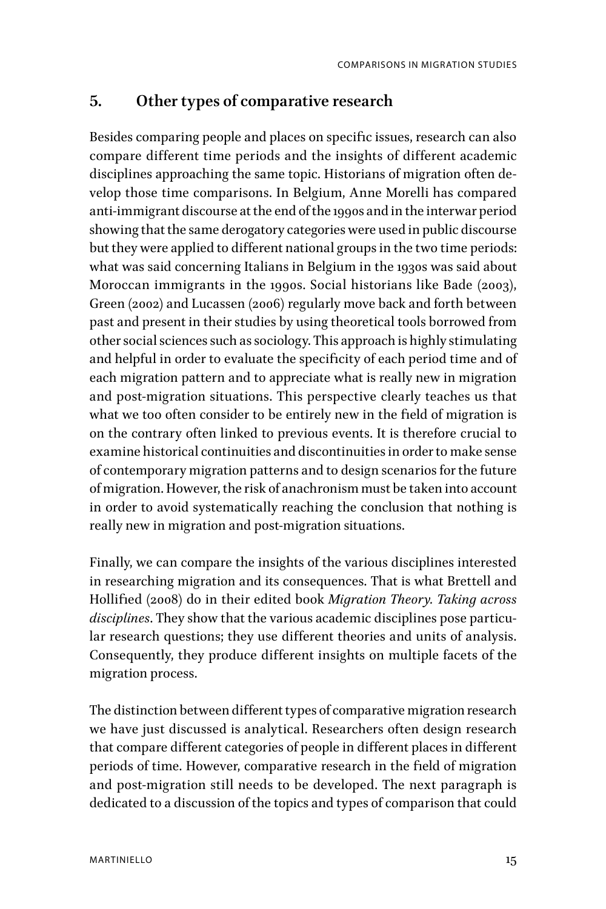#### **5. Other types of comparative research**

Besides comparing people and places on specific issues, research can also compare different time periods and the insights of different academic disciplines approaching the same topic. Historians of migration often develop those time comparisons. In Belgium, Anne Morelli has compared anti-immigrant discourse at the end of the 1990s and in the interwar period showing that the same derogatory categories were used in public discourse but they were applied to different national groups in the two time periods: what was said concerning Italians in Belgium in the 1930s was said about Moroccan immigrants in the 1990s. Social historians like Bade (2003), Green (2002) and Lucassen (2006) regularly move back and forth between past and present in their studies by using theoretical tools borrowed from other social sciences such as sociology. This approach is highly stimulating and helpful in order to evaluate the specificity of each period time and of each migration pattern and to appreciate what is really new in migration and post-migration situations. This perspective clearly teaches us that what we too often consider to be entirely new in the field of migration is on the contrary often linked to previous events. It is therefore crucial to examine historical continuities and discontinuities in order to make sense of contemporary migration patterns and to design scenarios for the future of migration. However, the risk of anachronism must be taken into account in order to avoid systematically reaching the conclusion that nothing is really new in migration and post-migration situations.

Finally, we can compare the insights of the various disciplines interested in researching migration and its consequences. That is what Brettell and Hollified (2008) do in their edited book *Migration Theory. Taking across disciplines*. They show that the various academic disciplines pose particular research questions; they use different theories and units of analysis. Consequently, they produce diffferent insights on multiple facets of the migration process.

The distinction between diffferent types of comparative migration research we have just discussed is analytical. Researchers often design research that compare different categories of people in different places in different periods of time. However, comparative research in the field of migration and post-migration still needs to be developed. The next paragraph is dedicated to a discussion of the topics and types of comparison that could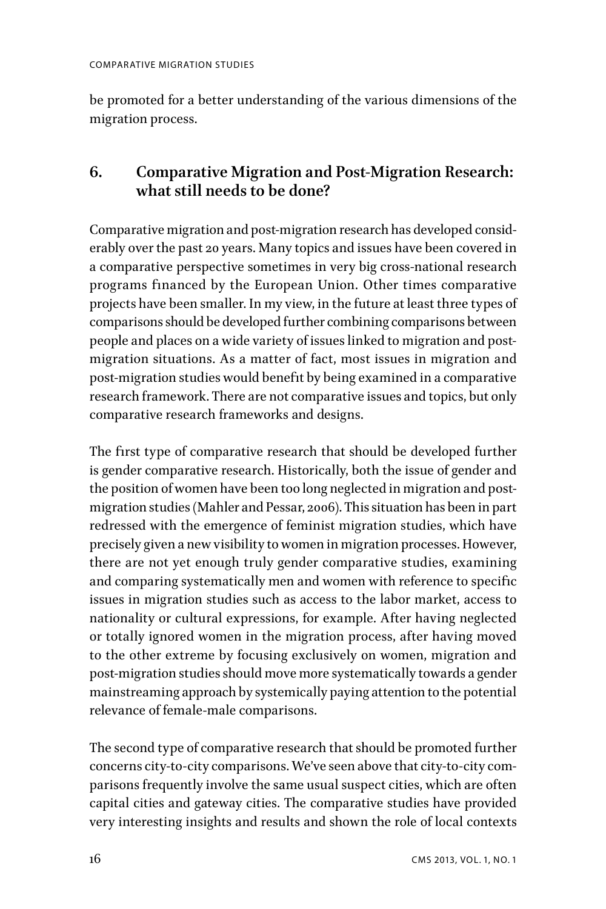be promoted for a better understanding of the various dimensions of the migration process.

### **6. Comparative Migration and Post-Migration Research: what still needs to be done?**

Comparative migration and post-migration research has developed considerably over the past 20 years. Many topics and issues have been covered in a comparative perspective sometimes in very big cross-national research programs financed by the European Union. Other times comparative projects have been smaller. In my view, in the future at least three types of comparisons should be developed further combining comparisons between people and places on a wide variety of issues linked to migration and postmigration situations. As a matter of fact, most issues in migration and post-migration studies would benefit by being examined in a comparative research framework. There are not comparative issues and topics, but only comparative research frameworks and designs.

The first type of comparative research that should be developed further is gender comparative research. Historically, both the issue of gender and the position of women have been too long neglected in migration and postmigration studies (Mahler and Pessar, 2006). This situation has been in part redressed with the emergence of feminist migration studies, which have precisely given a new visibility to women in migration processes. However, there are not yet enough truly gender comparative studies, examining and comparing systematically men and women with reference to specific issues in migration studies such as access to the labor market, access to nationality or cultural expressions, for example. After having neglected or totally ignored women in the migration process, after having moved to the other extreme by focusing exclusively on women, migration and post-migration studies should move more systematically towards a gender mainstreaming approach by systemically paying attention to the potential relevance of female-male comparisons.

The second type of comparative research that should be promoted further concerns city-to-city comparisons. We've seen above that city-to-city comparisons frequently involve the same usual suspect cities, which are often capital cities and gateway cities. The comparative studies have provided very interesting insights and results and shown the role of local contexts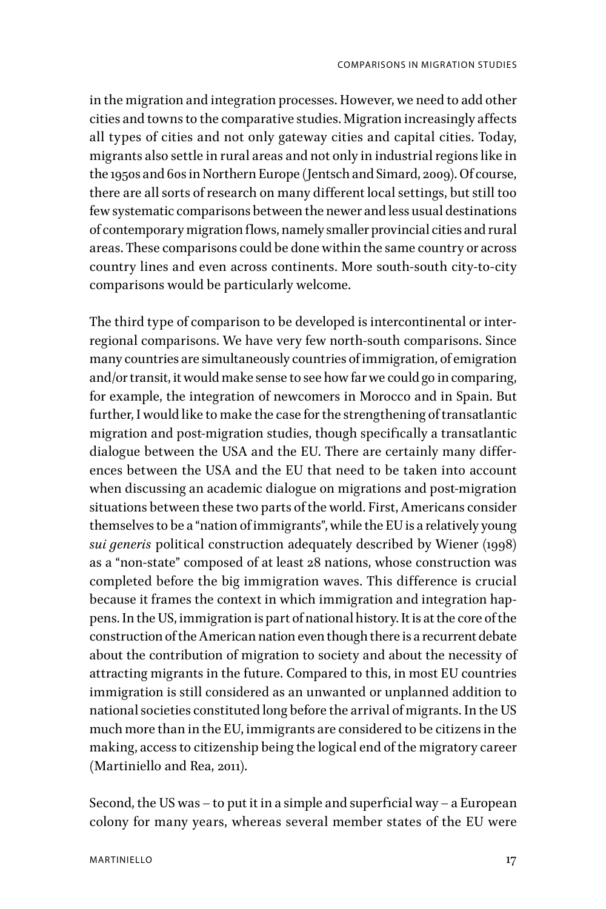in the migration and integration processes. However, we need to add other cities and towns to the comparative studies. Migration increasingly afffects all types of cities and not only gateway cities and capital cities. Today, migrants also settle in rural areas and not only in industrial regions like in the 1950s and 60s in Northern Europe (Jentsch and Simard, 2009). Of course, there are all sorts of research on many diffferent local settings, but still too few systematic comparisons between the newer and less usual destinations of contemporary migration flows, namely smaller provincial cities and rural areas. These comparisons could be done within the same country or across country lines and even across continents. More south-south city-to-city comparisons would be particularly welcome.

The third type of comparison to be developed is intercontinental or interregional comparisons. We have very few north-south comparisons. Since many countries are simultaneously countries of immigration, of emigration and/or transit, it would make sense to see how far we could go in comparing, for example, the integration of newcomers in Morocco and in Spain. But further, I would like to make the case for the strengthening of transatlantic migration and post-migration studies, though specifically a transatlantic dialogue between the USA and the EU. There are certainly many differences between the USA and the EU that need to be taken into account when discussing an academic dialogue on migrations and post-migration situations between these two parts of the world. First, Americans consider themselves to be a "nation of immigrants", while the EU is a relatively young *sui generis* political construction adequately described by Wiener (1998) as a "non-state" composed of at least 28 nations, whose construction was completed before the big immigration waves. This difference is crucial because it frames the context in which immigration and integration happens. In the US, immigration is part of national history. It is at the core of the construction of the American nation even though there is a recurrent debate about the contribution of migration to society and about the necessity of attracting migrants in the future. Compared to this, in most EU countries immigration is still considered as an unwanted or unplanned addition to national societies constituted long before the arrival of migrants. In the US much more than in the EU, immigrants are considered to be citizens in the making, access to citizenship being the logical end of the migratory career (Martiniello and Rea, 2011).

Second, the US was – to put it in a simple and superficial way – a European colony for many years, whereas several member states of the EU were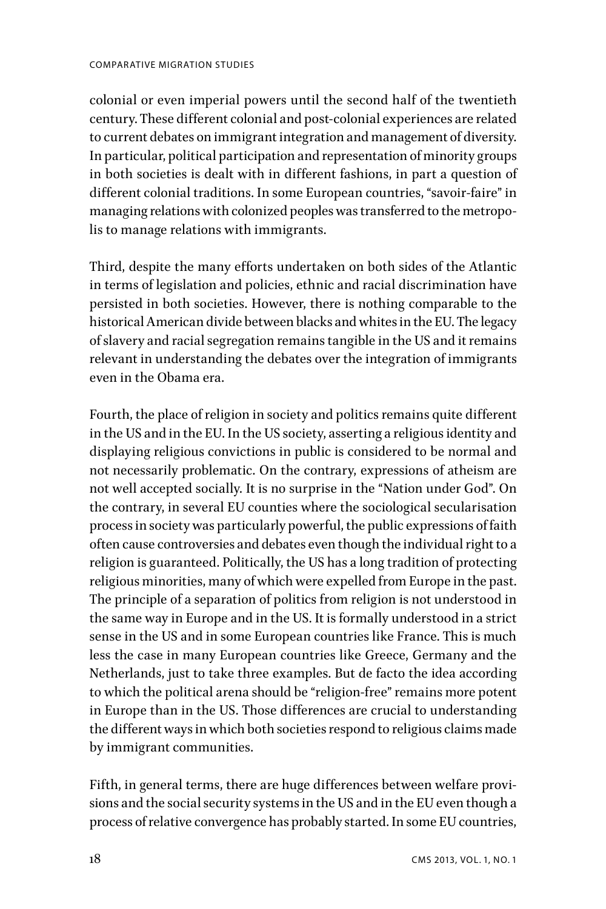#### COMPARATIVE MIGRATION STUDIES

colonial or even imperial powers until the second half of the twentieth century. These diffferent colonial and post-colonial experiences are related to current debates on immigrant integration and management of diversity. In particular, political participation and representation of minority groups in both societies is dealt with in different fashions, in part a question of diffferent colonial traditions. In some European countries, "savoir-faire" in managing relations with colonized peoples was transferred to the metropolis to manage relations with immigrants.

Third, despite the many effforts undertaken on both sides of the Atlantic in terms of legislation and policies, ethnic and racial discrimination have persisted in both societies. However, there is nothing comparable to the historical American divide between blacks and whites in the EU. The legacy of slavery and racial segregation remains tangible in the US and it remains relevant in understanding the debates over the integration of immigrants even in the Obama era.

Fourth, the place of religion in society and politics remains quite different in the US and in the EU. In the US society, asserting a religious identity and displaying religious convictions in public is considered to be normal and not necessarily problematic. On the contrary, expressions of atheism are not well accepted socially. It is no surprise in the "Nation under God". On the contrary, in several EU counties where the sociological secularisation process in society was particularly powerful, the public expressions of faith often cause controversies and debates even though the individual right to a religion is guaranteed. Politically, the US has a long tradition of protecting religious minorities, many of which were expelled from Europe in the past. The principle of a separation of politics from religion is not understood in the same way in Europe and in the US. It is formally understood in a strict sense in the US and in some European countries like France. This is much less the case in many European countries like Greece, Germany and the Netherlands, just to take three examples. But de facto the idea according to which the political arena should be "religion-free" remains more potent in Europe than in the US. Those differences are crucial to understanding the diffferent ways in which both societies respond to religious claims made by immigrant communities.

Fifth, in general terms, there are huge differences between welfare provisions and the social security systems in the US and in the EU even though a process of relative convergence has probably started. In some EU countries,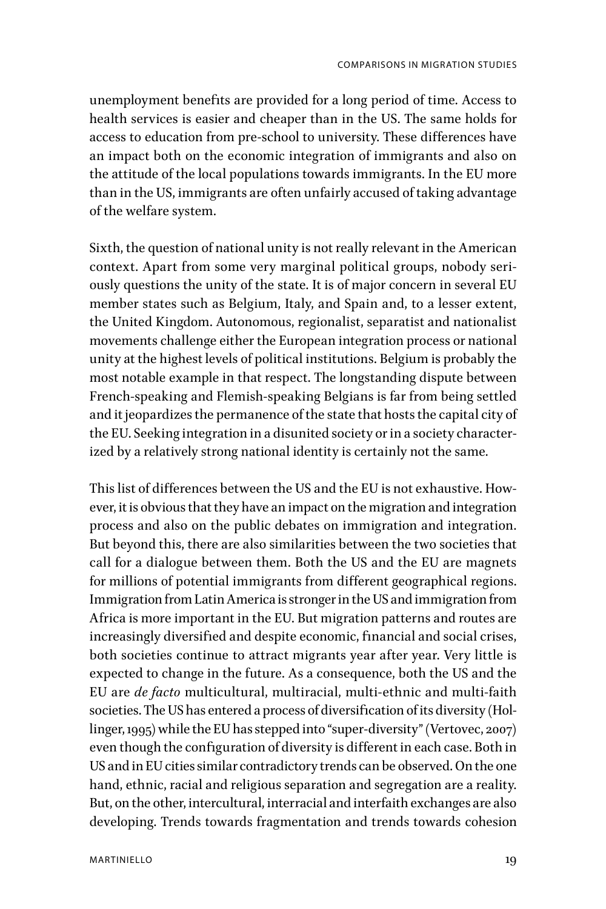unemployment benefits are provided for a long period of time. Access to health services is easier and cheaper than in the US. The same holds for access to education from pre-school to university. These diffferences have an impact both on the economic integration of immigrants and also on the attitude of the local populations towards immigrants. In the EU more than in the US, immigrants are often unfairly accused of taking advantage of the welfare system.

Sixth, the question of national unity is not really relevant in the American context. Apart from some very marginal political groups, nobody seriously questions the unity of the state. It is of major concern in several EU member states such as Belgium, Italy, and Spain and, to a lesser extent, the United Kingdom. Autonomous, regionalist, separatist and nationalist movements challenge either the European integration process or national unity at the highest levels of political institutions. Belgium is probably the most notable example in that respect. The longstanding dispute between French-speaking and Flemish-speaking Belgians is far from being settled and it jeopardizes the permanence of the state that hosts the capital city of the EU. Seeking integration in a disunited society or in a society characterized by a relatively strong national identity is certainly not the same.

This list of differences between the US and the EU is not exhaustive. However, it is obvious that they have an impact on the migration and integration process and also on the public debates on immigration and integration. But beyond this, there are also similarities between the two societies that call for a dialogue between them. Both the US and the EU are magnets for millions of potential immigrants from different geographical regions. Immigration from Latin America is stronger in the US and immigration from Africa is more important in the EU. But migration patterns and routes are increasingly diversified and despite economic, financial and social crises, both societies continue to attract migrants year after year. Very little is expected to change in the future. As a consequence, both the US and the EU are *de facto* multicultural, multiracial, multi-ethnic and multi-faith societies. The US has entered a process of diversification of its diversity (Hollinger, 1995) while the EU has stepped into "super-diversity" (Vertovec, 2007) even though the configuration of diversity is different in each case. Both in US and in EU cities similar contradictory trends can be observed. On the one hand, ethnic, racial and religious separation and segregation are a reality. But, on the other, intercultural, interracial and interfaith exchanges are also developing. Trends towards fragmentation and trends towards cohesion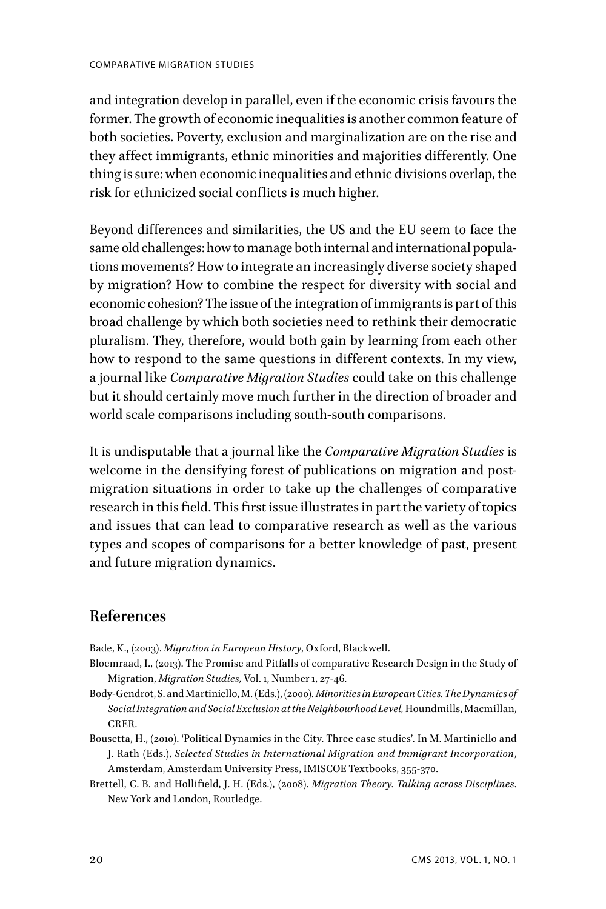#### COMPARATIVE MIGRATION STUDIES

and integration develop in parallel, even if the economic crisis favours the former. The growth of economic inequalities is another common feature of both societies. Poverty, exclusion and marginalization are on the rise and they affect immigrants, ethnic minorities and majorities differently. One thing is sure: when economic inequalities and ethnic divisions overlap, the risk for ethnicized social conflicts is much higher.

Beyond diffferences and similarities, the US and the EU seem to face the same old challenges: how to manage both internal and international populations movements? How to integrate an increasingly diverse society shaped by migration? How to combine the respect for diversity with social and economic cohesion? The issue of the integration of immigrants is part of this broad challenge by which both societies need to rethink their democratic pluralism. They, therefore, would both gain by learning from each other how to respond to the same questions in different contexts. In my view, a journal like *Comparative Migration Studies* could take on this challenge but it should certainly move much further in the direction of broader and world scale comparisons including south-south comparisons.

It is undisputable that a journal like the *Comparative Migration Studies* is welcome in the densifying forest of publications on migration and postmigration situations in order to take up the challenges of comparative research in this field. This first issue illustrates in part the variety of topics and issues that can lead to comparative research as well as the various types and scopes of comparisons for a better knowledge of past, present and future migration dynamics.

#### **References**

Bade, K., (2003). *Migration in European History*, Oxford, Blackwell.

- Bloemraad, I., (2013). The Promise and Pitfalls of comparative Research Design in the Study of Migration, *Migration Studies,* Vol. 1, Number 1, 27-46*.*
- Body-Gendrot, S. and Martiniello, M. (Eds.), (2000)*. Minorities in European Cities. The Dynamics of Social Integration and Social Exclusion at the Neighbourhood Level,* Houndmills, Macmillan, CRER.
- Bousetta, H., (2010). 'Political Dynamics in the City. Three case studies'. In M. Martiniello and J. Rath (Eds.), *Selected Studies in International Migration and Immigrant Incorporation*, Amsterdam, Amsterdam University Press, IMISCOE Textbooks, 355-370.
- Brettell, C. B. and Hollifield, J. H. (Eds.), (2008). *Migration Theory. Talking across Disciplines*. New York and London, Routledge.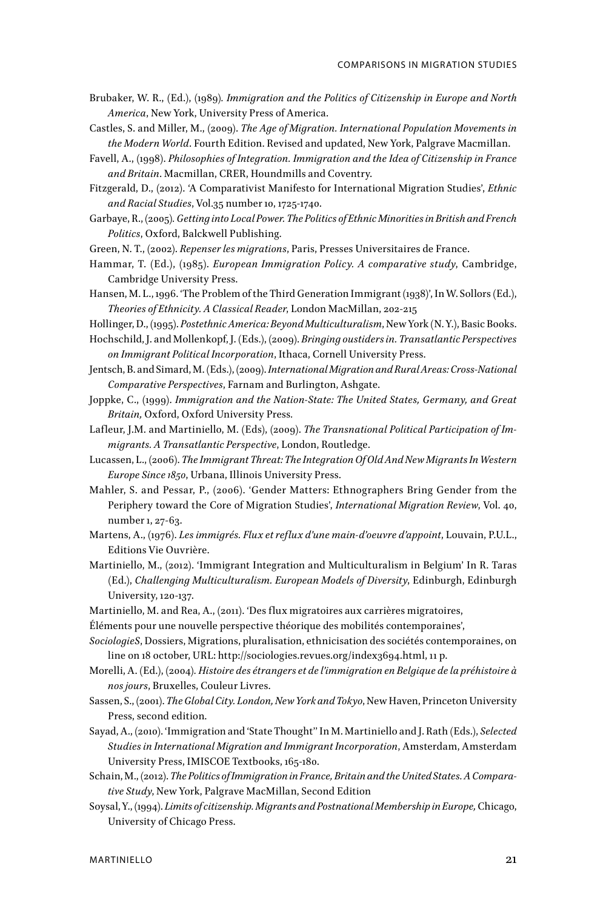- Brubaker, W. R., (Ed.), (1989)*. Immigration and the Politics of Citizenship in Europe and North America*, New York, University Press of America.
- Castles, S. and Miller, M., (2009). *The Age of Migration. International Population Movements in the Modern World*. Fourth Edition. Revised and updated, New York, Palgrave Macmillan.
- Favell, A., (1998). *Philosophies of Integration. Immigration and the Idea of Citizenship in France and Britain*. Macmillan, CRER, Houndmills and Coventry.
- Fitzgerald, D., (2012). 'A Comparativist Manifesto for International Migration Studies', *Ethnic and Racial Studies*, Vol.35 number 10, 1725-1740.
- Garbaye, R., (2005)*. Getting into Local Power. The Politics of Ethnic Minorities in British and French Politics*, Oxford, Balckwell Publishing.
- Green, N. T., (2002). *Repenser les migrations*, Paris, Presses Universitaires de France.
- Hammar, T. (Ed.), (1985). *European Immigration Policy. A comparative study*, Cambridge, Cambridge University Press.
- Hansen, M. L., 1996. 'The Problem of the Third Generation Immigrant (1938)', In W. Sollors (Ed.), *Theories of Ethnicity. A Classical Reader*, London MacMillan, 202-215

Hollinger, D., (1995). *Postethnic America: Beyond Multiculturalism*, New York (N. Y.), Basic Books.

- Hochschild, J. and Mollenkopf, J. (Eds.), (2009). *Bringing oustiders in. Transatlantic Perspectives on Immigrant Political Incorporation*, Ithaca, Cornell University Press.
- Jentsch, B. and Simard, M. (Eds.), (2009). *International Migration and Rural Areas: Cross-National Comparative Perspectives*, Farnam and Burlington, Ashgate.
- Joppke, C., (1999). *Immigration and the Nation-State: The United States, Germany, and Great Britain,* Oxford, Oxford University Press*.*
- Lafleur, J.M. and Martiniello, M. (Eds), (2009). *The Transnational Political Participation of Immigrants. A Transatlantic Perspective*, London, Routledge.
- Lucassen, L., (2006). *The Immigrant Threat: The Integration Of Old And New Migrants In Western Europe Since 1850*, Urbana, Illinois University Press.
- Mahler, S. and Pessar, P., (2006). 'Gender Matters: Ethnographers Bring Gender from the Periphery toward the Core of Migration Studies', *International Migration Review*, Vol. 40, number 1, 27-63.
- Martens, A., (1976). *Les immigrés. Flux et reflux d'une main-d'oeuvre d'appoint*, Louvain, P.U.L., Editions Vie Ouvrière.
- Martiniello, M., (2012). 'Immigrant Integration and Multiculturalism in Belgium' In R. Taras (Ed.), *Challenging Multiculturalism. European Models of Diversity*, Edinburgh, Edinburgh University, 120-137.
- Martiniello, M. and Rea, A., (2011). 'Des flux migratoires aux carrières migratoires,
- Éléments pour une nouvelle perspective théorique des mobilités contemporaines',
- *SociologieS*, Dossiers, Migrations, pluralisation, ethnicisation des sociétés contemporaines, on line on 18 october, URL: http://sociologies.revues.org/index3694.html, 11 p.
- Morelli, A. (Ed.), (2004)*. Histoire des étrangers et de l'immigration en Belgique de la préhistoire à nos jours*, Bruxelles, Couleur Livres.
- Sassen, S., (2001). *The Global City. London, New York and Tokyo*, New Haven, Princeton University Press, second edition.
- Sayad, A., (2010). 'Immigration and 'State Thought'' In M. Martiniello and J. Rath (Eds.), *Selected Studies in International Migration and Immigrant Incorporation*, Amsterdam, Amsterdam University Press, IMISCOE Textbooks, 165-180.
- Schain, M., (2012). *The Politics of Immigration in France, Britain and the United States. A Comparative Study*, New York, Palgrave MacMillan, Second Edition
- Soysal, Y., (1994). *Limits of citizenship. Migrants and Postnational Membership in Europe,* Chicago, University of Chicago Press.